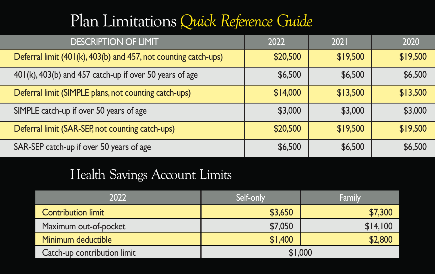## Plan Limitations *Quick Reference Guide*

| <b>DESCRIPTION OF LIMIT</b>                                     | 2022     | 2021     | 2020     |
|-----------------------------------------------------------------|----------|----------|----------|
| Deferral limit (401(k), 403(b) and 457, not counting catch-ups) | \$20,500 | \$19,500 | \$19,500 |
| 401(k), 403(b) and 457 catch-up if over 50 years of age         | \$6,500  | \$6,500  | \$6,500  |
| Deferral limit (SIMPLE plans, not counting catch-ups)           | \$14,000 | \$13,500 | \$13,500 |
| SIMPLE catch-up if over 50 years of age                         | \$3,000  | \$3,000  | \$3,000  |
| Deferral limit (SAR-SEP, not counting catch-ups)                | \$20,500 | \$19,500 | \$19,500 |
| SAR-SEP catch-up if over 50 years of age                        | \$6,500  | \$6,500  | \$6,500  |

## Health Savings Account Limits

| 2022                        | Self-only | Family   |  |
|-----------------------------|-----------|----------|--|
| <b>Contribution limit</b>   | \$3,650   | \$7,300  |  |
| Maximum out-of-pocket       | \$7,050   | \$14.100 |  |
| Minimum deductible          | \$1,400   | \$2,800  |  |
| Catch-up contribution limit | \$1,000   |          |  |